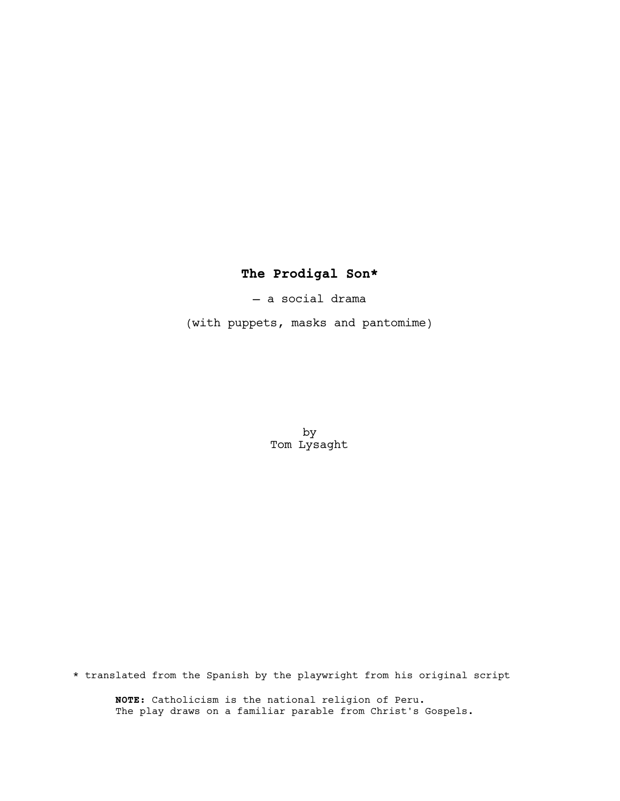## **The Prodigal Son\***

— a social drama

(with puppets, masks and pantomime)

by Tom Lysaght

\* translated from the Spanish by the playwright from his original script

 **NOTE:** Catholicism is the national religion of Peru. The play draws on a familiar parable from Christ's Gospels.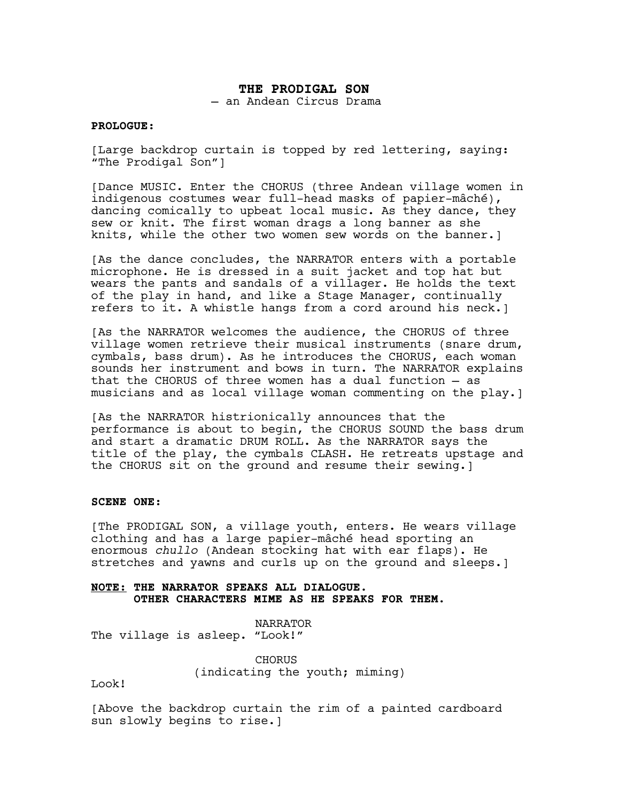### **THE PRODIGAL SON**

— an Andean Circus Drama

## **PROLOGUE**:

[Large backdrop curtain is topped by red lettering, saying: "The Prodigal Son"]

[Dance MUSIC. Enter the CHORUS (three Andean village women in indigenous costumes wear full-head masks of papier-mâché), dancing comically to upbeat local music. As they dance, they sew or knit. The first woman drags a long banner as she knits, while the other two women sew words on the banner.]

[As the dance concludes, the NARRATOR enters with a portable microphone. He is dressed in a suit jacket and top hat but wears the pants and sandals of a villager. He holds the text of the play in hand, and like a Stage Manager, continually refers to it. A whistle hangs from a cord around his neck.]

[As the NARRATOR welcomes the audience, the CHORUS of three village women retrieve their musical instruments (snare drum, cymbals, bass drum). As he introduces the CHORUS, each woman sounds her instrument and bows in turn. The NARRATOR explains that the CHORUS of three women has a dual function — as musicians and as local village woman commenting on the play.]

[As the NARRATOR histrionically announces that the performance is about to begin, the CHORUS SOUND the bass drum and start a dramatic DRUM ROLL. As the NARRATOR says the title of the play, the cymbals CLASH. He retreats upstage and the CHORUS sit on the ground and resume their sewing.]

### **SCENE ONE:**

[The PRODIGAL SON, a village youth, enters. He wears village clothing and has a large papier-mâché head sporting an enormous *chullo* (Andean stocking hat with ear flaps). He stretches and yawns and curls up on the ground and sleeps.]

### **NOTE: THE NARRATOR SPEAKS ALL DIALOGUE. OTHER CHARACTERS MIME AS HE SPEAKS FOR THEM.**

NARRATOR The village is asleep. "Look!"

> CHORUS (indicating the youth; miming)

Look!

[Above the backdrop curtain the rim of a painted cardboard sun slowly begins to rise.]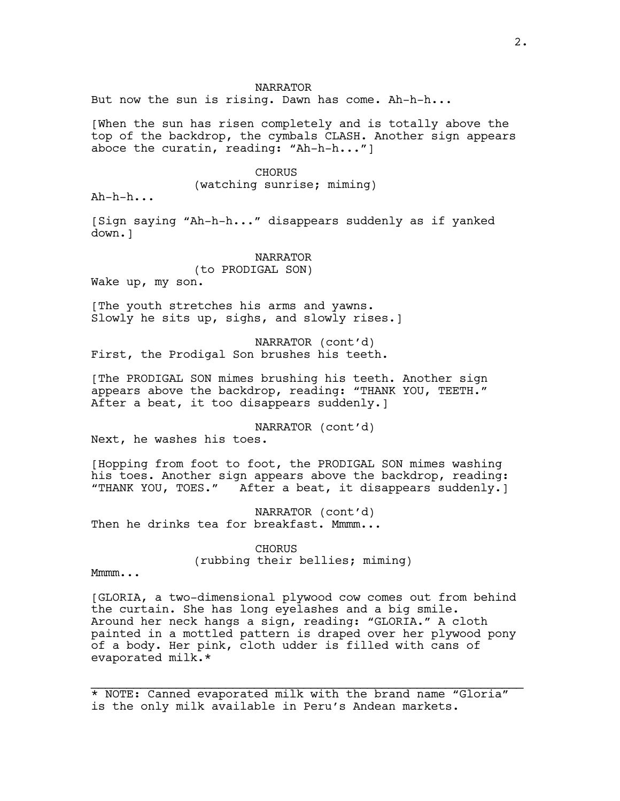### NARRATOR

But now the sun is rising. Dawn has come. Ah-h-h...

[When the sun has risen completely and is totally above the top of the backdrop, the cymbals CLASH. Another sign appears aboce the curatin, reading: "Ah-h-h..."]

> CHORUS (watching sunrise; miming)

 $Ah-h-h...$ 

[Sign saying "Ah-h-h..." disappears suddenly as if yanked down.]

# NARRATOR

(to PRODIGAL SON)

Wake up, my son.

[The youth stretches his arms and yawns. Slowly he sits up, sighs, and slowly rises.]

NARRATOR (cont'd) First, the Prodigal Son brushes his teeth.

[The PRODIGAL SON mimes brushing his teeth. Another sign appears above the backdrop, reading: "THANK YOU, TEETH." After a beat, it too disappears suddenly.]

NARRATOR (cont'd)

Next, he washes his toes.

[Hopping from foot to foot, the PRODIGAL SON mimes washing his toes. Another sign appears above the backdrop, reading: "THANK YOU, TOES." After a beat, it disappears suddenly.]

NARRATOR (cont'd) Then he drinks tea for breakfast. Mmmm...

> **CHORUS** (rubbing their bellies; miming)

Mmmm...

[GLORIA, a two-dimensional plywood cow comes out from behind the curtain. She has long eyelashes and a big smile. Around her neck hangs a sign, reading: "GLORIA." A cloth painted in a mottled pattern is draped over her plywood pony of a body. Her pink, cloth udder is filled with cans of evaporated milk.\*

\* NOTE: Canned evaporated milk with the brand name "Gloria" is the only milk available in Peru's Andean markets.

 $\mathcal{L}_\text{max}$  , and the contract of the contract of the contract of the contract of the contract of the contract of the contract of the contract of the contract of the contract of the contract of the contract of the contr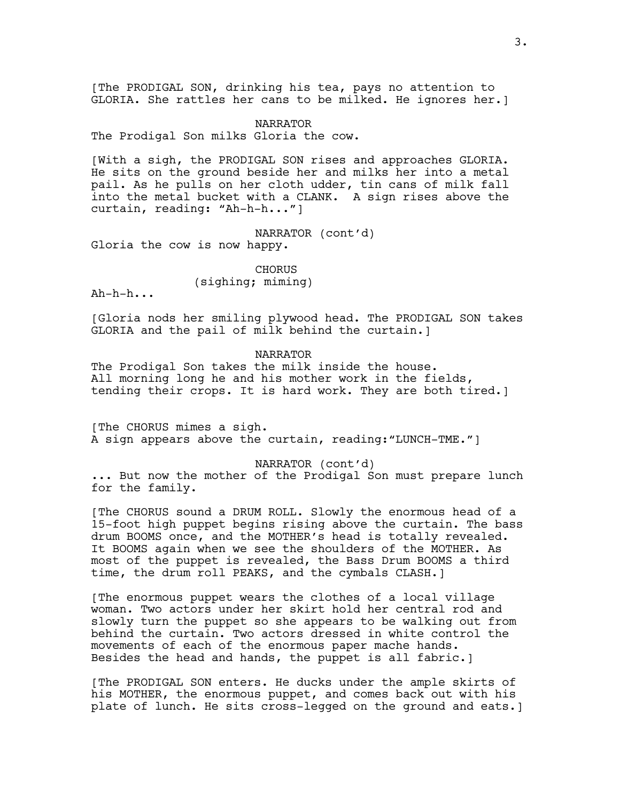[The PRODIGAL SON, drinking his tea, pays no attention to GLORIA. She rattles her cans to be milked. He ignores her.]

### NARRATOR

The Prodigal Son milks Gloria the cow.

[With a sigh, the PRODIGAL SON rises and approaches GLORIA. He sits on the ground beside her and milks her into a metal pail. As he pulls on her cloth udder, tin cans of milk fall into the metal bucket with a CLANK. A sign rises above the curtain, reading: "Ah-h-h..."]

NARRATOR (cont'd)

Gloria the cow is now happy.

**CHORUS** 

(sighing; miming)

 $A h-h-h...$ 

[Gloria nods her smiling plywood head. The PRODIGAL SON takes GLORIA and the pail of milk behind the curtain.]

NARRATOR

The Prodigal Son takes the milk inside the house. All morning long he and his mother work in the fields, tending their crops. It is hard work. They are both tired.]

[The CHORUS mimes a sigh. A sign appears above the curtain, reading:"LUNCH-TME."]

NARRATOR (cont'd)

... But now the mother of the Prodigal Son must prepare lunch for the family.

[The CHORUS sound a DRUM ROLL. Slowly the enormous head of a 15-foot high puppet begins rising above the curtain. The bass drum BOOMS once, and the MOTHER's head is totally revealed. It BOOMS again when we see the shoulders of the MOTHER. As most of the puppet is revealed, the Bass Drum BOOMS a third time, the drum roll PEAKS, and the cymbals CLASH.]

[The enormous puppet wears the clothes of a local village woman. Two actors under her skirt hold her central rod and slowly turn the puppet so she appears to be walking out from behind the curtain. Two actors dressed in white control the movements of each of the enormous paper mache hands. Besides the head and hands, the puppet is all fabric.]

[The PRODIGAL SON enters. He ducks under the ample skirts of his MOTHER, the enormous puppet, and comes back out with his plate of lunch. He sits cross-legged on the ground and eats.]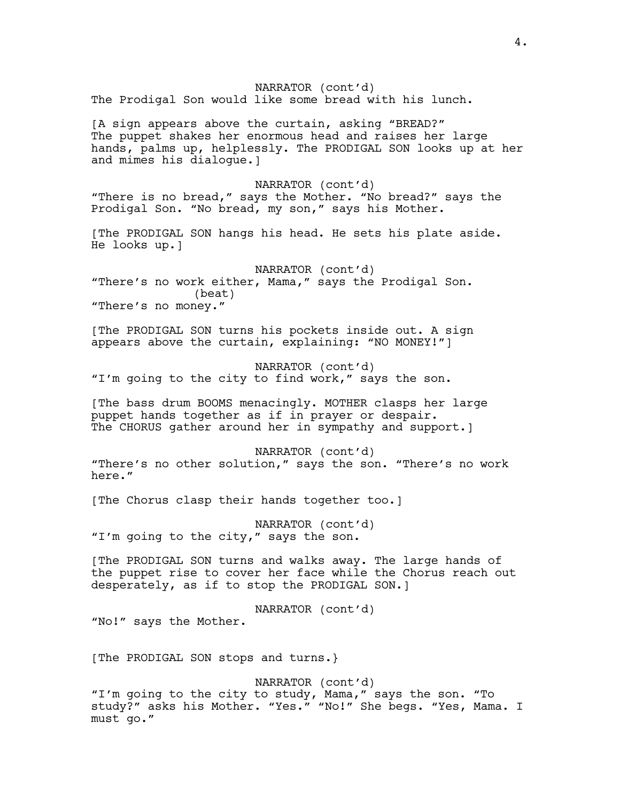NARRATOR (cont'd) The Prodigal Son would like some bread with his lunch. [A sign appears above the curtain, asking "BREAD?" The puppet shakes her enormous head and raises her large hands, palms up, helplessly. The PRODIGAL SON looks up at her and mimes his dialogue.] NARRATOR (cont'd) "There is no bread," says the Mother. "No bread?" says the Prodigal Son. "No bread, my son," says his Mother. [The PRODIGAL SON hangs his head. He sets his plate aside. He looks up.] NARRATOR (cont'd) "There's no work either, Mama," says the Prodigal Son. (beat) "There's no money." [The PRODIGAL SON turns his pockets inside out. A sign appears above the curtain, explaining: "NO MONEY!"] NARRATOR (cont'd) "I'm going to the city to find work," says the son. [The bass drum BOOMS menacingly. MOTHER clasps her large puppet hands together as if in prayer or despair. The CHORUS gather around her in sympathy and support.] NARRATOR (cont'd) "There's no other solution," says the son. "There's no work here." [The Chorus clasp their hands together too.] NARRATOR (cont'd) "I'm going to the city," says the son. [The PRODIGAL SON turns and walks away. The large hands of the puppet rise to cover her face while the Chorus reach out desperately, as if to stop the PRODIGAL SON.] NARRATOR (cont'd) "No!" says the Mother. [The PRODIGAL SON stops and turns.} NARRATOR (cont'd) "I'm going to the city to study, Mama," says the son. "To study?" asks his Mother. "Yes." "No!" She begs. "Yes, Mama. I must go."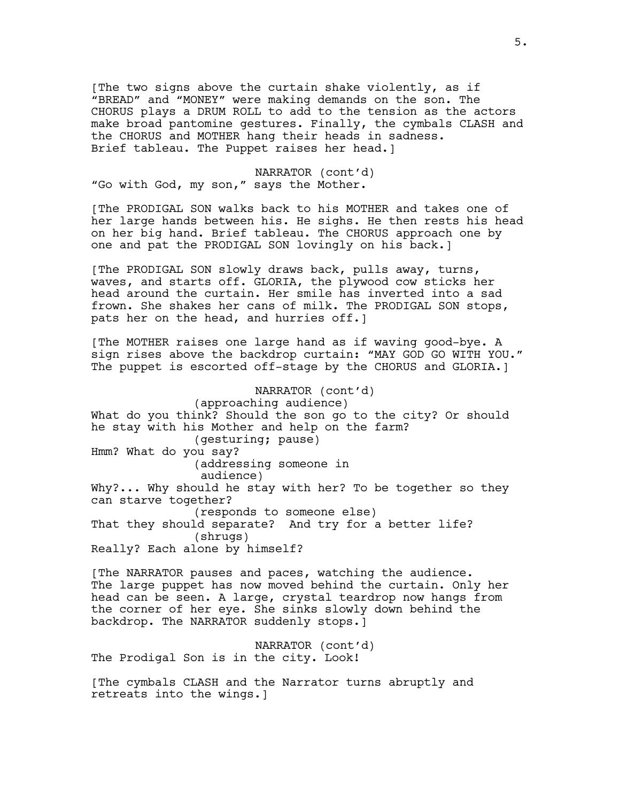[The two signs above the curtain shake violently, as if "BREAD" and "MONEY" were making demands on the son. The CHORUS plays a DRUM ROLL to add to the tension as the actors make broad pantomine gestures. Finally, the cymbals CLASH and the CHORUS and MOTHER hang their heads in sadness. Brief tableau. The Puppet raises her head.]

NARRATOR (cont'd) "Go with God, my son," says the Mother.

[The PRODIGAL SON walks back to his MOTHER and takes one of her large hands between his. He sighs. He then rests his head on her big hand. Brief tableau. The CHORUS approach one by one and pat the PRODIGAL SON lovingly on his back.]

[The PRODIGAL SON slowly draws back, pulls away, turns, waves, and starts off. GLORIA, the plywood cow sticks her head around the curtain. Her smile has inverted into a sad frown. She shakes her cans of milk. The PRODIGAL SON stops, pats her on the head, and hurries off.]

[The MOTHER raises one large hand as if waving good-bye. A sign rises above the backdrop curtain: "MAY GOD GO WITH YOU." The puppet is escorted off-stage by the CHORUS and GLORIA.]

NARRATOR (cont'd) (approaching audience) What do you think? Should the son go to the city? Or should he stay with his Mother and help on the farm? (gesturing; pause) Hmm? What do you say? (addressing someone in audience) Why?... Why should he stay with her? To be together so they can starve together? (responds to someone else) That they should separate? And try for a better life? (shrugs) Really? Each alone by himself?

[The NARRATOR pauses and paces, watching the audience. The large puppet has now moved behind the curtain. Only her head can be seen. A large, crystal teardrop now hangs from the corner of her eye. She sinks slowly down behind the backdrop. The NARRATOR suddenly stops.]

NARRATOR (cont'd) The Prodigal Son is in the city. Look!

[The cymbals CLASH and the Narrator turns abruptly and retreats into the wings.]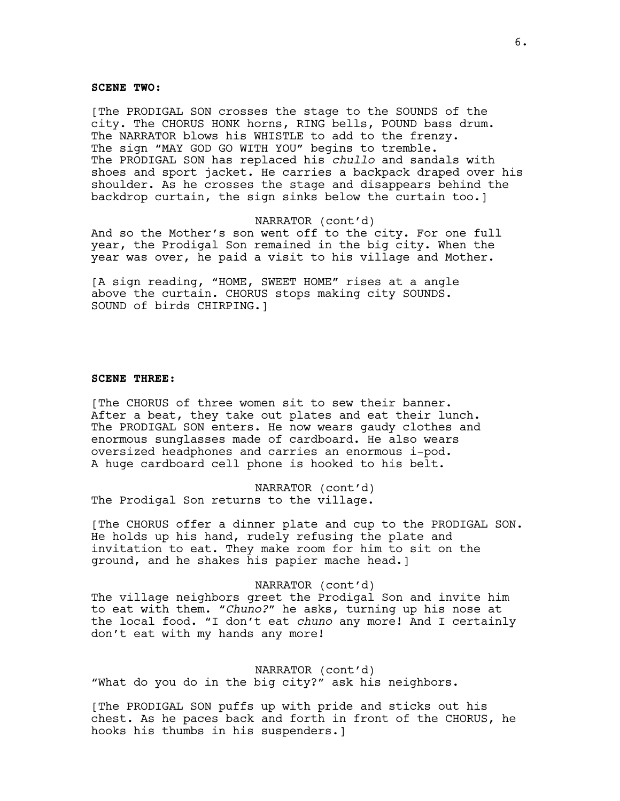#### **SCENE TWO:**

[The PRODIGAL SON crosses the stage to the SOUNDS of the city. The CHORUS HONK horns, RING bells, POUND bass drum. The NARRATOR blows his WHISTLE to add to the frenzy. The sign "MAY GOD GO WITH YOU" begins to tremble. The PRODIGAL SON has replaced his *chullo* and sandals with shoes and sport jacket. He carries a backpack draped over his shoulder. As he crosses the stage and disappears behind the backdrop curtain, the sign sinks below the curtain too.]

NARRATOR (cont'd)

And so the Mother's son went off to the city. For one full year, the Prodigal Son remained in the big city. When the year was over, he paid a visit to his village and Mother.

[A sign reading, "HOME, SWEET HOME" rises at a angle above the curtain. CHORUS stops making city SOUNDS. SOUND of birds CHIRPING.]

### **SCENE THREE:**

[The CHORUS of three women sit to sew their banner. After a beat, they take out plates and eat their lunch. The PRODIGAL SON enters. He now wears gaudy clothes and enormous sunglasses made of cardboard. He also wears oversized headphones and carries an enormous i-pod. A huge cardboard cell phone is hooked to his belt.

NARRATOR (cont'd) The Prodigal Son returns to the village.

[The CHORUS offer a dinner plate and cup to the PRODIGAL SON. He holds up his hand, rudely refusing the plate and invitation to eat. They make room for him to sit on the ground, and he shakes his papier mache head.]

NARRATOR (cont'd)

The village neighbors greet the Prodigal Son and invite him to eat with them. *"Chuno?"* he asks, turning up his nose at the local food. "I don't eat *chuno* any more! And I certainly don't eat with my hands any more!

NARRATOR (cont'd) "What do you do in the big city?" ask his neighbors.

[The PRODIGAL SON puffs up with pride and sticks out his chest. As he paces back and forth in front of the CHORUS, he hooks his thumbs in his suspenders.]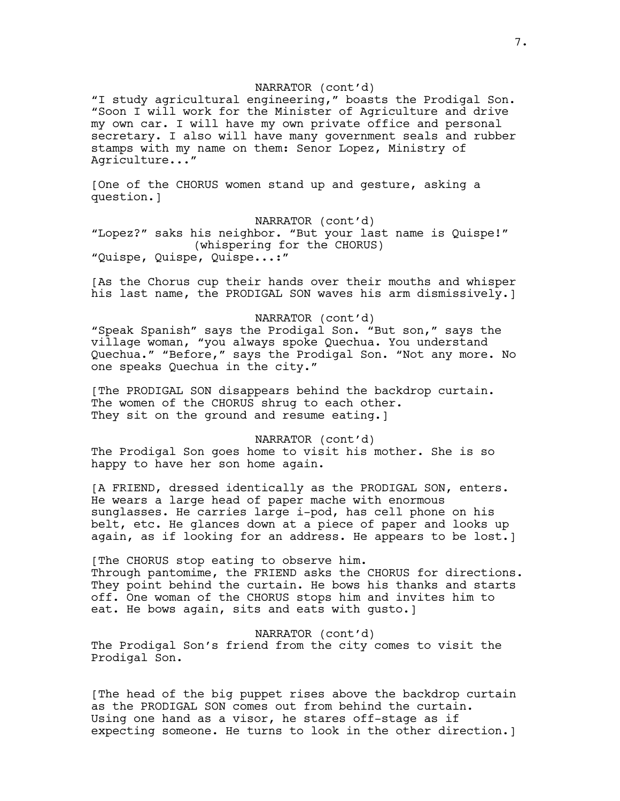### NARRATOR (cont'd)

"I study agricultural engineering," boasts the Prodigal Son. "Soon I will work for the Minister of Agriculture and drive my own car. I will have my own private office and personal secretary. I also will have many government seals and rubber stamps with my name on them: Senor Lopez, Ministry of Agriculture..."

[One of the CHORUS women stand up and gesture, asking a question.]

NARRATOR (cont'd)

"Lopez?" saks his neighbor. "But your last name is Quispe!" (whispering for the CHORUS) "Quispe, Quispe, Quispe...:"

[As the Chorus cup their hands over their mouths and whisper his last name, the PRODIGAL SON waves his arm dismissively.]

NARRATOR (cont'd)

"Speak Spanish" says the Prodigal Son. "But son," says the village woman, "you always spoke Quechua. You understand Quechua." "Before," says the Prodigal Son. "Not any more. No one speaks Quechua in the city."

[The PRODIGAL SON disappears behind the backdrop curtain. The women of the CHORUS shrug to each other. They sit on the ground and resume eating. [

NARRATOR (cont'd) The Prodigal Son goes home to visit his mother. She is so happy to have her son home again.

[A FRIEND, dressed identically as the PRODIGAL SON, enters. He wears a large head of paper mache with enormous sunglasses. He carries large i-pod, has cell phone on his belt, etc. He glances down at a piece of paper and looks up again, as if looking for an address. He appears to be lost.]

[The CHORUS stop eating to observe him. Through pantomime, the FRIEND asks the CHORUS for directions. They point behind the curtain. He bows his thanks and starts off. One woman of the CHORUS stops him and invites him to eat. He bows again, sits and eats with gusto.]

NARRATOR (cont'd)

The Prodigal Son's friend from the city comes to visit the Prodigal Son.

[The head of the big puppet rises above the backdrop curtain as the PRODIGAL SON comes out from behind the curtain. Using one hand as a visor, he stares off-stage as if expecting someone. He turns to look in the other direction.]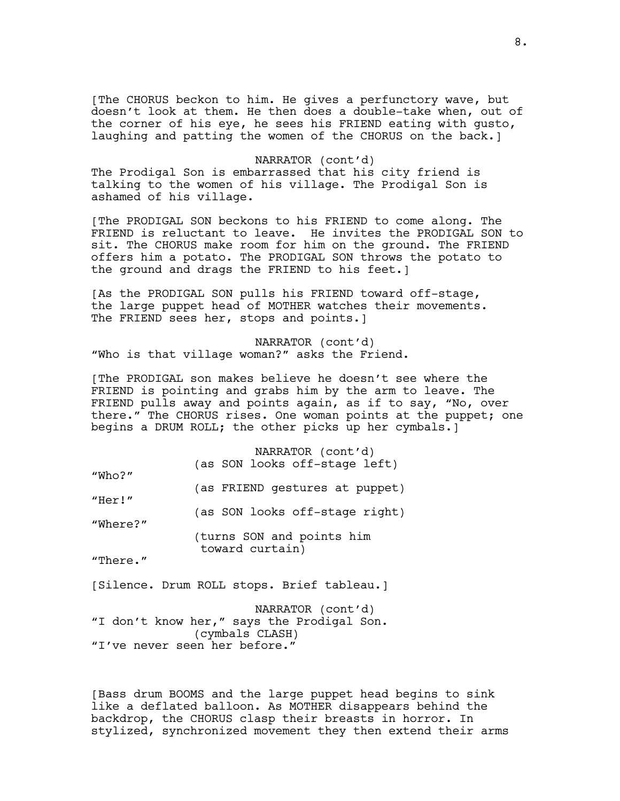[The CHORUS beckon to him. He gives a perfunctory wave, but doesn't look at them. He then does a double-take when, out of the corner of his eye, he sees his FRIEND eating with gusto, laughing and patting the women of the CHORUS on the back.]

NARRATOR (cont'd) The Prodigal Son is embarrassed that his city friend is talking to the women of his village. The Prodigal Son is ashamed of his village.

[The PRODIGAL SON beckons to his FRIEND to come along. The FRIEND is reluctant to leave. He invites the PRODIGAL SON to sit. The CHORUS make room for him on the ground. The FRIEND offers him a potato. The PRODIGAL SON throws the potato to the ground and drags the FRIEND to his feet.]

[As the PRODIGAL SON pulls his FRIEND toward off-stage, the large puppet head of MOTHER watches their movements. The FRIEND sees her, stops and points. 1

NARRATOR (cont'd) "Who is that village woman?" asks the Friend.

[The PRODIGAL son makes believe he doesn't see where the FRIEND is pointing and grabs him by the arm to leave. The FRIEND pulls away and points again, as if to say, "No, over there." The CHORUS rises. One woman points at the puppet; one begins a DRUM ROLL; the other picks up her cymbals.]

|          | NARRATOR (cont'd)<br>(as SON looks off-stage left) |
|----------|----------------------------------------------------|
| "Who?"   | (as FRIEND gestures at puppet)                     |
| "Her!"   |                                                    |
| "Where?" | (as SON looks off-stage right)                     |
|          | (turns SON and points him<br>toward curtain)       |
| "There." |                                                    |
|          | [Silence. Drum ROLL stops. Brief tableau.]         |
|          | NARRATOR (cont/d)                                  |

NARRATOR (cont'd) "I don't know her," says the Prodigal Son. (cymbals CLASH) "I've never seen her before."

[Bass drum BOOMS and the large puppet head begins to sink like a deflated balloon. As MOTHER disappears behind the backdrop, the CHORUS clasp their breasts in horror. In stylized, synchronized movement they then extend their arms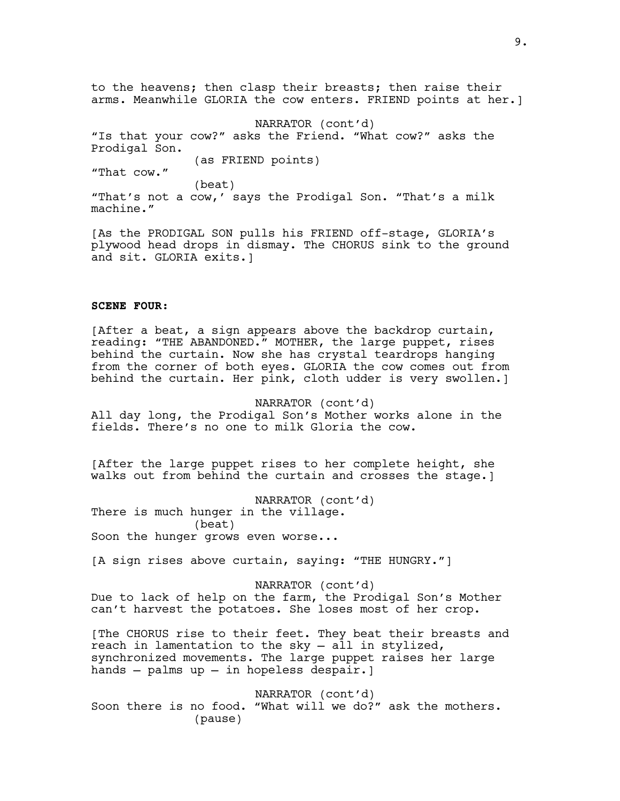to the heavens; then clasp their breasts; then raise their arms. Meanwhile GLORIA the cow enters. FRIEND points at her.]

NARRATOR (cont'd) "Is that your cow?" asks the Friend. "What cow?" asks the Prodigal Son. (as FRIEND points) "That cow." (beat) "That's not a cow,' says the Prodigal Son. "That's a milk machine."

[As the PRODIGAL SON pulls his FRIEND off-stage, GLORIA's plywood head drops in dismay. The CHORUS sink to the ground and sit. GLORIA exits.]

## **SCENE FOUR:**

[After a beat, a sign appears above the backdrop curtain, reading: "THE ABANDONED." MOTHER, the large puppet, rises behind the curtain. Now she has crystal teardrops hanging from the corner of both eyes. GLORIA the cow comes out from behind the curtain. Her pink, cloth udder is very swollen.]

NARRATOR (cont'd) All day long, the Prodigal Son's Mother works alone in the fields. There's no one to milk Gloria the cow.

[After the large puppet rises to her complete height, she walks out from behind the curtain and crosses the stage.]

NARRATOR (cont'd) There is much hunger in the village. (beat) Soon the hunger grows even worse...

[A sign rises above curtain, saying: "THE HUNGRY."]

NARRATOR (cont'd)

Due to lack of help on the farm, the Prodigal Son's Mother can't harvest the potatoes. She loses most of her crop.

[The CHORUS rise to their feet. They beat their breasts and reach in lamentation to the sky — all in stylized, synchronized movements. The large puppet raises her large hands — palms up — in hopeless despair.]

NARRATOR (cont'd) Soon there is no food. "What will we do?" ask the mothers. (pause)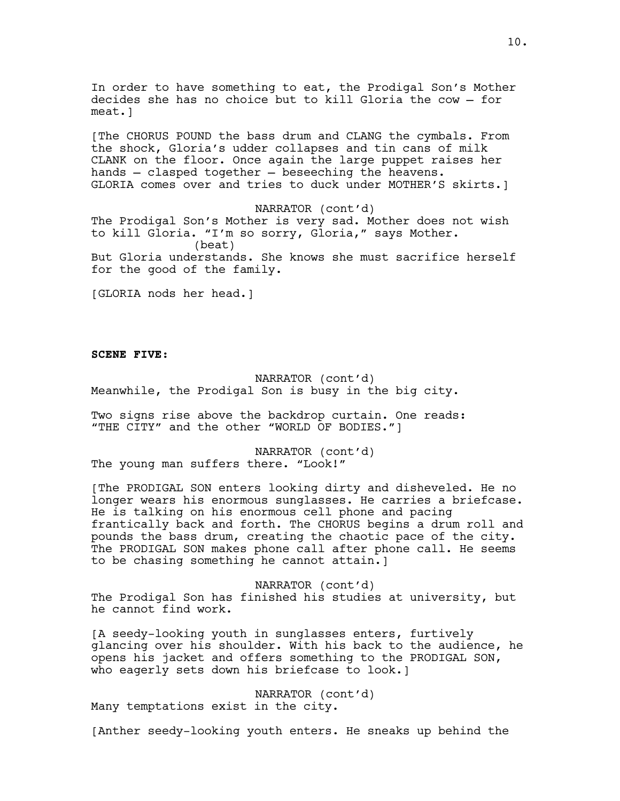In order to have something to eat, the Prodigal Son's Mother decides she has no choice but to kill Gloria the cow — for meat.]

[The CHORUS POUND the bass drum and CLANG the cymbals. From the shock, Gloria's udder collapses and tin cans of milk CLANK on the floor. Once again the large puppet raises her hands — clasped together — beseeching the heavens. GLORIA comes over and tries to duck under MOTHER'S skirts.]

NARRATOR (cont'd)

The Prodigal Son's Mother is very sad. Mother does not wish to kill Gloria. "I'm so sorry, Gloria," says Mother. (beat) But Gloria understands. She knows she must sacrifice herself for the good of the family.

[GLORIA nods her head.]

**SCENE FIVE:**

NARRATOR (cont'd) Meanwhile, the Prodigal Son is busy in the big city.

Two signs rise above the backdrop curtain. One reads: "THE CITY" and the other "WORLD OF BODIES."]

NARRATOR (cont'd) The young man suffers there. "Look!"

[The PRODIGAL SON enters looking dirty and disheveled. He no longer wears his enormous sunglasses. He carries a briefcase. He is talking on his enormous cell phone and pacing frantically back and forth. The CHORUS begins a drum roll and pounds the bass drum, creating the chaotic pace of the city. The PRODIGAL SON makes phone call after phone call. He seems to be chasing something he cannot attain.]

NARRATOR (cont'd) The Prodigal Son has finished his studies at university, but he cannot find work.

[A seedy-looking youth in sunglasses enters, furtively glancing over his shoulder. With his back to the audience, he opens his jacket and offers something to the PRODIGAL SON, who eagerly sets down his briefcase to look.]

NARRATOR (cont'd) Many temptations exist in the city.

[Anther seedy-looking youth enters. He sneaks up behind the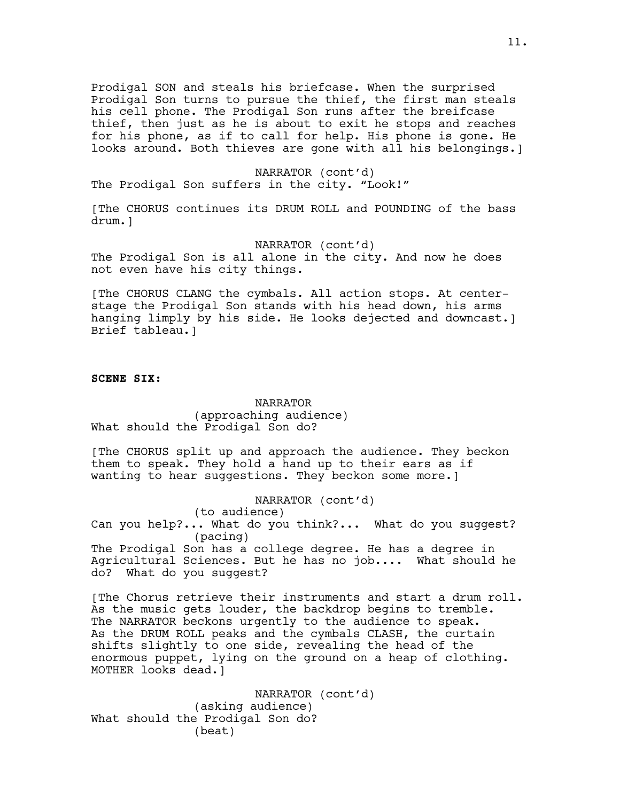Prodigal SON and steals his briefcase. When the surprised Prodigal Son turns to pursue the thief, the first man steals his cell phone. The Prodigal Son runs after the breifcase thief, then just as he is about to exit he stops and reaches for his phone, as if to call for help. His phone is gone. He looks around. Both thieves are gone with all his belongings.]

NARRATOR (cont'd)

The Prodigal Son suffers in the city. "Look!"

[The CHORUS continues its DRUM ROLL and POUNDING of the bass drum.]

NARRATOR (cont'd)

The Prodigal Son is all alone in the city. And now he does not even have his city things.

[The CHORUS CLANG the cymbals. All action stops. At centerstage the Prodigal Son stands with his head down, his arms hanging limply by his side. He looks dejected and downcast.] Brief tableau.]

**SCENE SIX:**

NARRATOR (approaching audience) What should the Prodigal Son do?

[The CHORUS split up and approach the audience. They beckon them to speak. They hold a hand up to their ears as if wanting to hear suggestions. They beckon some more.]

NARRATOR (cont'd)

(to audience)

Can you help?... What do you think?... What do you suggest? (pacing)

The Prodigal Son has a college degree. He has a degree in Agricultural Sciences. But he has no job.... What should he do? What do you suggest?

[The Chorus retrieve their instruments and start a drum roll. As the music gets louder, the backdrop begins to tremble. The NARRATOR beckons urgently to the audience to speak. As the DRUM ROLL peaks and the cymbals CLASH, the curtain shifts slightly to one side, revealing the head of the enormous puppet, lying on the ground on a heap of clothing. MOTHER looks dead.]

NARRATOR (cont'd) (asking audience) What should the Prodigal Son do? (beat)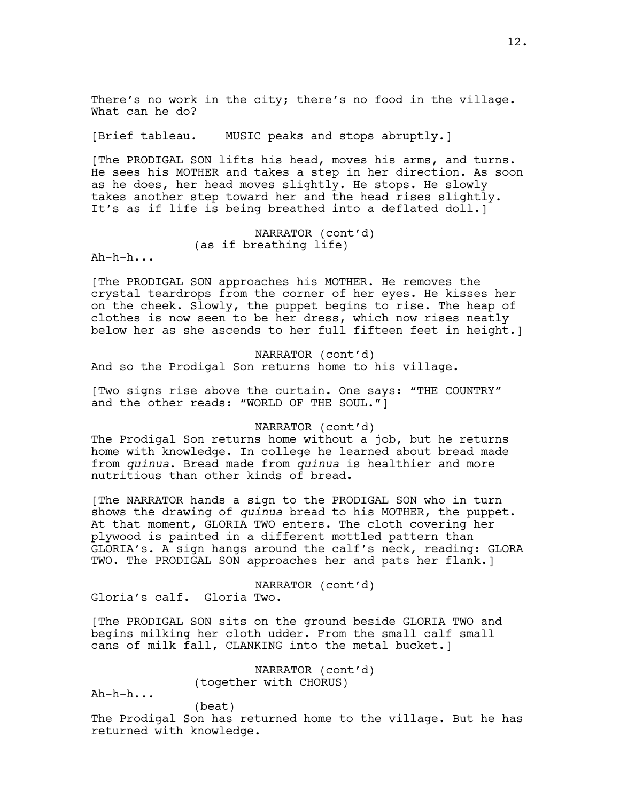There's no work in the city; there's no food in the village. What can he do?

[Brief tableau. MUSIC peaks and stops abruptly.]

[The PRODIGAL SON lifts his head, moves his arms, and turns. He sees his MOTHER and takes a step in her direction. As soon as he does, her head moves slightly. He stops. He slowly takes another step toward her and the head rises slightly. It's as if life is being breathed into a deflated doll.]

> NARRATOR (cont'd) (as if breathing life)

 $A h-h-h...$ 

[The PRODIGAL SON approaches his MOTHER. He removes the crystal teardrops from the corner of her eyes. He kisses her on the cheek. Slowly, the puppet begins to rise. The heap of clothes is now seen to be her dress, which now rises neatly below her as she ascends to her full fifteen feet in height.]

NARRATOR (cont'd) And so the Prodigal Son returns home to his village.

[Two signs rise above the curtain. One says: "THE COUNTRY" and the other reads: "WORLD OF THE SOUL."]

NARRATOR (cont'd)

The Prodigal Son returns home without a job, but he returns home with knowledge. In college he learned about bread made from *quinua*. Bread made from *quinua* is healthier and more nutritious than other kinds of bread.

[The NARRATOR hands a sign to the PRODIGAL SON who in turn shows the drawing of *quinua* bread to his MOTHER, the puppet. At that moment, GLORIA TWO enters. The cloth covering her plywood is painted in a different mottled pattern than GLORIA's. A sign hangs around the calf's neck, reading: GLORA TWO. The PRODIGAL SON approaches her and pats her flank.]

NARRATOR (cont'd) Gloria's calf. Gloria Two.

[The PRODIGAL SON sits on the ground beside GLORIA TWO and begins milking her cloth udder. From the small calf small cans of milk fall, CLANKING into the metal bucket.]

> NARRATOR (cont'd) (together with CHORUS)

 $Ah-h-h...$ 

(beat)

The Prodigal Son has returned home to the village. But he has returned with knowledge.